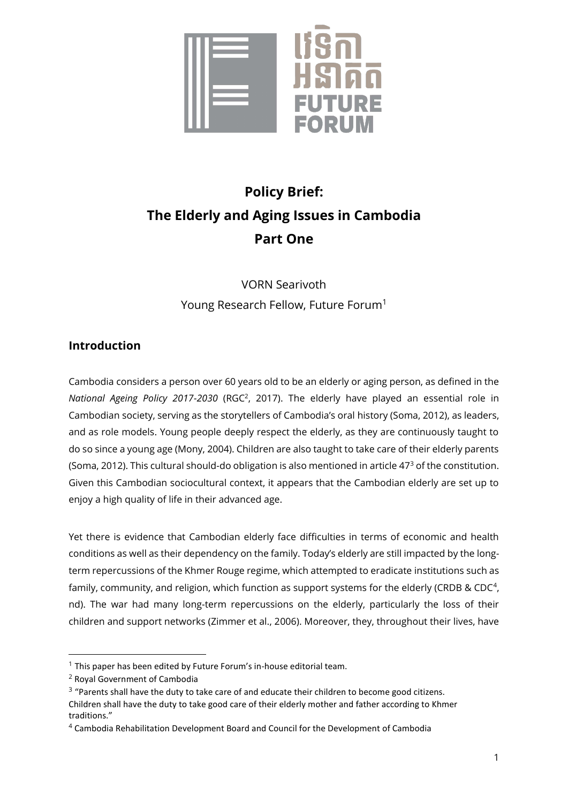

# **Policy Brief: The Elderly and Aging Issues in Cambodia Part One**

VORN Searivoth Young Research Fellow, Future Forum<sup>1</sup>

# **Introduction**

Cambodia considers a person over 60 years old to be an elderly or aging person, as defined in the National Ageing Policy 2017-2030 (RGC<sup>2</sup>, 2017). The elderly have played an essential role in Cambodian society, serving as the storytellers of Cambodia's oral history (Soma, 2012), as leaders, and as role models. Young people deeply respect the elderly, as they are continuously taught to do so since a young age (Mony, 2004). Children are also taught to take care of their elderly parents (Soma, 2012). This cultural should-do obligation is also mentioned in article  $47<sup>3</sup>$  of the constitution. Given this Cambodian sociocultural context, it appears that the Cambodian elderly are set up to enjoy a high quality of life in their advanced age.

Yet there is evidence that Cambodian elderly face difficulties in terms of economic and health conditions as well as their dependency on the family. Today's elderly are still impacted by the longterm repercussions of the Khmer Rouge regime, which attempted to eradicate institutions such as family, community, and religion, which function as support systems for the elderly (CRDB & CDC<sup>4</sup>, nd). The war had many long-term repercussions on the elderly, particularly the loss of their children and support networks (Zimmer et al., 2006). Moreover, they, throughout their lives, have

 $1$  This paper has been edited by Future Forum's in-house editorial team.

<sup>2</sup> Royal Government of Cambodia

 $3$  "Parents shall have the duty to take care of and educate their children to become good citizens. Children shall have the duty to take good care of their elderly mother and father according to Khmer traditions."

<sup>4</sup> Cambodia Rehabilitation Development Board and Council for the Development of Cambodia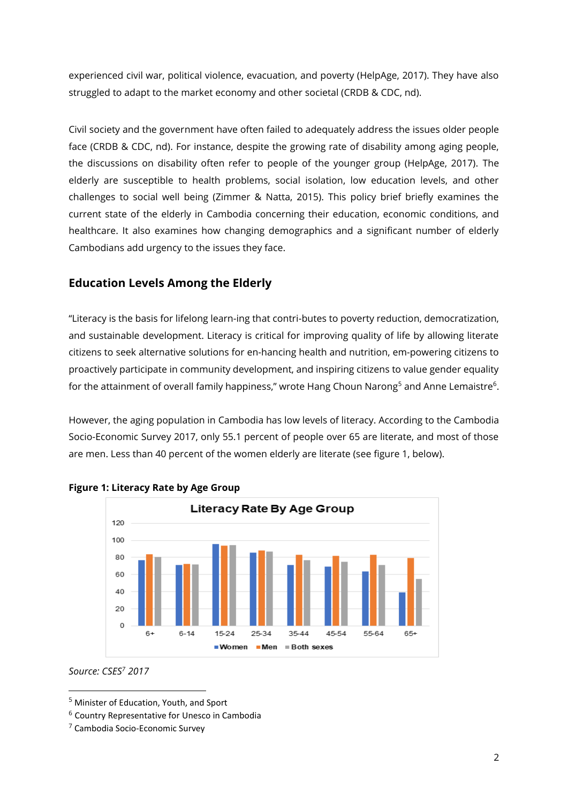experienced civil war, political violence, evacuation, and poverty (HelpAge, 2017). They have also struggled to adapt to the market economy and other societal (CRDB & CDC, nd).

Civil society and the government have often failed to adequately address the issues older people face (CRDB & CDC, nd). For instance, despite the growing rate of disability among aging people, the discussions on disability often refer to people of the younger group (HelpAge, 2017). The elderly are susceptible to health problems, social isolation, low education levels, and other challenges to social well being (Zimmer & Natta, 2015). This policy brief briefly examines the current state of the elderly in Cambodia concerning their education, economic conditions, and healthcare. It also examines how changing demographics and a significant number of elderly Cambodians add urgency to the issues they face.

# **Education Levels Among the Elderly**

"Literacy is the basis for lifelong learn-ing that contri-butes to poverty reduction, democratization, and sustainable development. Literacy is critical for improving quality of life by allowing literate citizens to seek alternative solutions for en-hancing health and nutrition, em-powering citizens to proactively participate in community development, and inspiring citizens to value gender equality for the attainment of overall family happiness," wrote Hang Choun Narong<sup>5</sup> and Anne Lemaistre<sup>6</sup>.

However, the aging population in Cambodia has low levels of literacy. According to the Cambodia Socio-Economic Survey 2017, only 55.1 percent of people over 65 are literate, and most of those are men. Less than 40 percent of the women elderly are literate (see figure 1, below).





## *Source: CSES<sup>7</sup> 2017*

<sup>5</sup> Minister of Education, Youth, and Sport

<sup>6</sup> Country Representative for Unesco in Cambodia

<sup>7</sup> Cambodia Socio-Economic Survey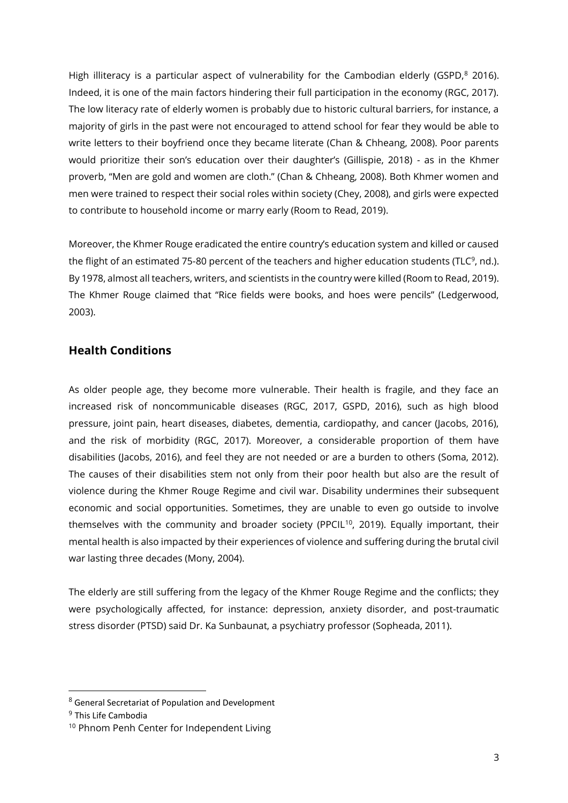High illiteracy is a particular aspect of vulnerability for the Cambodian elderly (GSPD, $^8$  2016). Indeed, it is one of the main factors hindering their full participation in the economy (RGC, 2017). The low literacy rate of elderly women is probably due to historic cultural barriers, for instance, a majority of girls in the past were not encouraged to attend school for fear they would be able to write letters to their boyfriend once they became literate (Chan & Chheang, 2008). Poor parents would prioritize their son's education over their daughter's (Gillispie, 2018) - as in the Khmer proverb, "Men are gold and women are cloth." (Chan & Chheang, 2008). Both Khmer women and men were trained to respect their social roles within society (Chey, 2008), and girls were expected to contribute to household income or marry early (Room to Read, 2019).

Moreover, the Khmer Rouge eradicated the entire country's education system and killed or caused the flight of an estimated 75-80 percent of the teachers and higher education students (TLC<sup>9</sup>, nd.). By 1978, almost all teachers, writers, and scientists in the country were killed (Room to Read, 2019). The Khmer Rouge claimed that "Rice fields were books, and hoes were pencils" (Ledgerwood, 2003).

## **Health Conditions**

As older people age, they become more vulnerable. Their health is fragile, and they face an increased risk of noncommunicable diseases (RGC, 2017, GSPD, 2016), such as high blood pressure, joint pain, heart diseases, diabetes, dementia, cardiopathy, and cancer (Jacobs, 2016), and the risk of morbidity (RGC, 2017). Moreover, a considerable proportion of them have disabilities (Jacobs, 2016), and feel they are not needed or are a burden to others (Soma, 2012). The causes of their disabilities stem not only from their poor health but also are the result of violence during the Khmer Rouge Regime and civil war. Disability undermines their subsequent economic and social opportunities. Sometimes, they are unable to even go outside to involve themselves with the community and broader society (PPCIL<sup>10</sup>, 2019). Equally important, their mental health is also impacted by their experiences of violence and suffering during the brutal civil war lasting three decades (Mony, 2004).

The elderly are still suffering from the legacy of the Khmer Rouge Regime and the conflicts; they were psychologically affected, for instance: depression, anxiety disorder, and post-traumatic stress disorder (PTSD) said Dr. Ka Sunbaunat, a psychiatry professor (Sopheada, 2011).

<sup>8</sup> General Secretariat of Population and Development

<sup>&</sup>lt;sup>9</sup> This Life Cambodia

<sup>&</sup>lt;sup>10</sup> Phnom Penh Center for Independent Living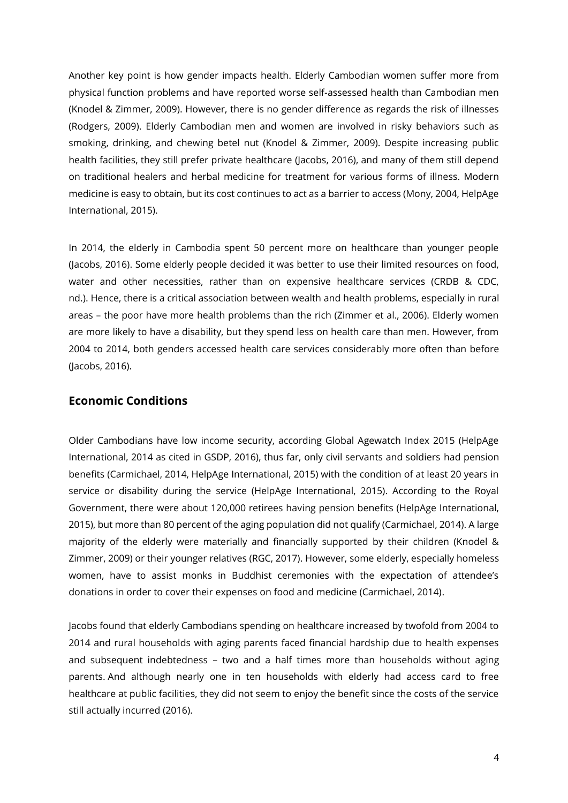Another key point is how gender impacts health. Elderly Cambodian women suffer more from physical function problems and have reported worse self-assessed health than Cambodian men (Knodel & Zimmer, 2009). However, there is no gender difference as regards the risk of illnesses (Rodgers, 2009). Elderly Cambodian men and women are involved in risky behaviors such as smoking, drinking, and chewing betel nut (Knodel & Zimmer, 2009). Despite increasing public health facilities, they still prefer private healthcare (Jacobs, 2016), and many of them still depend on traditional healers and herbal medicine for treatment for various forms of illness. Modern medicine is easy to obtain, but its cost continues to act as a barrier to access (Mony, 2004, HelpAge International, 2015).

In 2014, the elderly in Cambodia spent 50 percent more on healthcare than younger people (Jacobs, 2016). Some elderly people decided it was better to use their limited resources on food, water and other necessities, rather than on expensive healthcare services (CRDB & CDC, nd.). Hence, there is a critical association between wealth and health problems, especially in rural areas – the poor have more health problems than the rich (Zimmer et al., 2006). Elderly women are more likely to have a disability, but they spend less on health care than men. However, from 2004 to 2014, both genders accessed health care services considerably more often than before (Jacobs, 2016).

## **Economic Conditions**

Older Cambodians have low income security, according Global Agewatch Index 2015 (HelpAge International, 2014 as cited in GSDP, 2016), thus far, only civil servants and soldiers had pension benefits (Carmichael, 2014, HelpAge International, 2015) with the condition of at least 20 years in service or disability during the service (HelpAge International, 2015). According to the Royal Government, there were about 120,000 retirees having pension benefits (HelpAge International, 2015), but more than 80 percent of the aging population did not qualify (Carmichael, 2014). A large majority of the elderly were materially and financially supported by their children (Knodel & Zimmer, 2009) or their younger relatives (RGC, 2017). However, some elderly, especially homeless women, have to assist monks in Buddhist ceremonies with the expectation of attendee's donations in order to cover their expenses on food and medicine (Carmichael, 2014).

Jacobs found that elderly Cambodians spending on healthcare increased by twofold from 2004 to 2014 and rural households with aging parents faced financial hardship due to health expenses and subsequent indebtedness – two and a half times more than households without aging parents. And although nearly one in ten households with elderly had access card to free healthcare at public facilities, they did not seem to enjoy the benefit since the costs of the service still actually incurred (2016).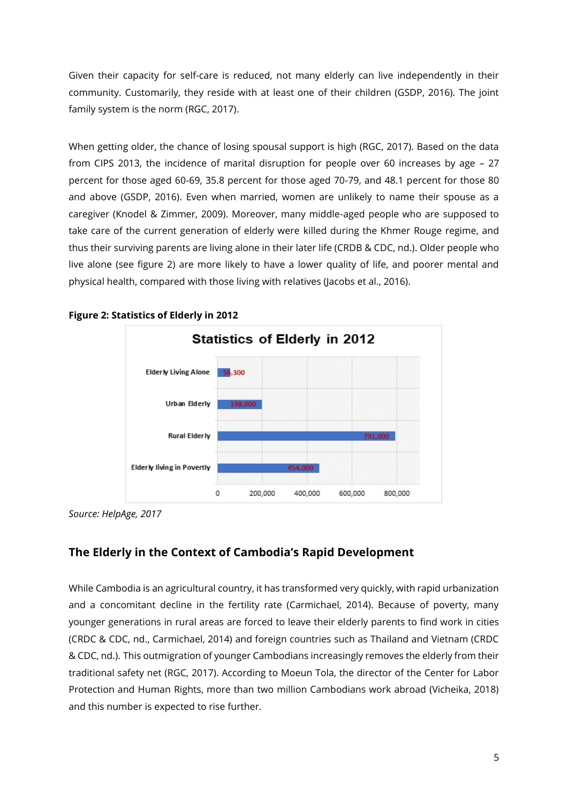Given their capacity for self-care is reduced, not many elderly can live independently in their community. Customarily, they reside with at least one of their children (GSDP, 2016). The joint family system is the norm (RGC, 2017).

When getting older, the chance of losing spousal support is high (RGC, 2017). Based on the data from CIPS 2013, the incidence of marital disruption for people over 60 increases by age – 27 percent for those aged 60-69, 35.8 percent for those aged 70-79, and 48.1 percent for those 80 and above (GSDP, 2016). Even when married, women are unlikely to name their spouse as a caregiver (Knodel & Zimmer, 2009). Moreover, many middle-aged people who are supposed to take care of the current generation of elderly were killed during the Khmer Rouge regime, and thus their surviving parents are living alone in their later life (CRDB & CDC, nd.). Older people who live alone (see figure 2) are more likely to have a lower quality of life, and poorer mental and physical health, compared with those living with relatives (Jacobs et al., 2016).



#### **Figure 2: Statistics of Elderly in 2012**

*Source: HelpAge, 2017*

## **The Elderly in the Context of Cambodia's Rapid Development**

While Cambodia is an agricultural country, it has transformed very quickly, with rapid urbanization and a concomitant decline in the fertility rate (Carmichael, 2014). Because of poverty, many younger generations in rural areas are forced to leave their elderly parents to find work in cities (CRDC & CDC, nd., Carmichael, 2014) and foreign countries such as Thailand and Vietnam (CRDC & CDC, nd.). This outmigration of younger Cambodians increasingly removes the elderly from their traditional safety net (RGC, 2017). According to Moeun Tola, the director of the Center for Labor Protection and Human Rights, more than two million Cambodians work abroad (Vicheika, 2018) and this number is expected to rise further.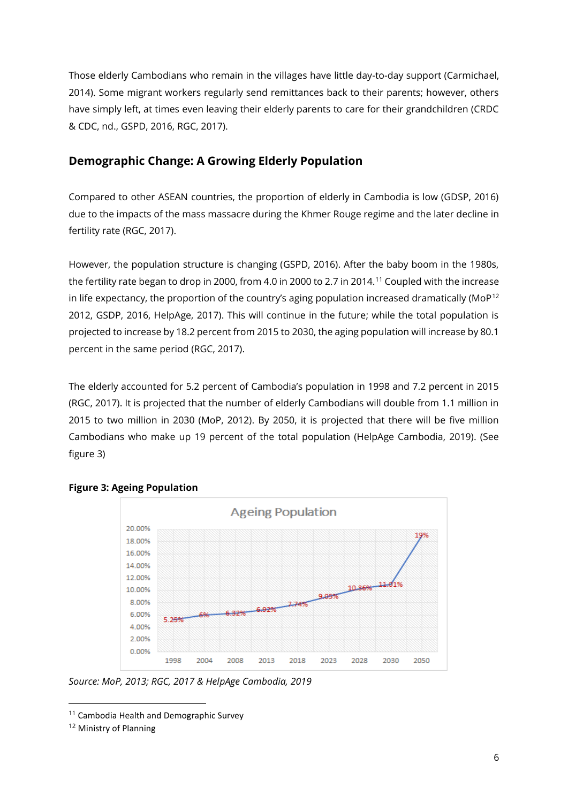Those elderly Cambodians who remain in the villages have little day-to-day support (Carmichael, 2014). Some migrant workers regularly send remittances back to their parents; however, others have simply left, at times even leaving their elderly parents to care for their grandchildren (CRDC & CDC, nd., GSPD, 2016, RGC, 2017).

## **Demographic Change: A Growing Elderly Population**

Compared to other ASEAN countries, the proportion of elderly in Cambodia is low (GDSP, 2016) due to the impacts of the mass massacre during the Khmer Rouge regime and the later decline in fertility rate (RGC, 2017).

However, the population structure is changing (GSPD, 2016). After the baby boom in the 1980s, the fertility rate began to drop in 2000, from 4.0 in 2000 to 2.7 in 2014.<sup>11</sup> Coupled with the increase in life expectancy, the proportion of the country's aging population increased dramatically (MoP<sup>12</sup> 2012, GSDP, 2016, HelpAge, 2017). This will continue in the future; while the total population is projected to increase by 18.2 percent from 2015 to 2030, the aging population will increase by 80.1 percent in the same period (RGC, 2017).

The elderly accounted for 5.2 percent of Cambodia's population in 1998 and 7.2 percent in 2015 (RGC, 2017). It is projected that the number of elderly Cambodians will double from 1.1 million in 2015 to two million in 2030 (MoP, 2012). By 2050, it is projected that there will be five million Cambodians who make up 19 percent of the total population (HelpAge Cambodia, 2019). (See figure 3)



#### **Figure 3: Ageing Population**

*Source: MoP, 2013; RGC, 2017 & HelpAge Cambodia, 2019*

<sup>&</sup>lt;sup>11</sup> Cambodia Health and Demographic Survey

<sup>12</sup> Ministry of Planning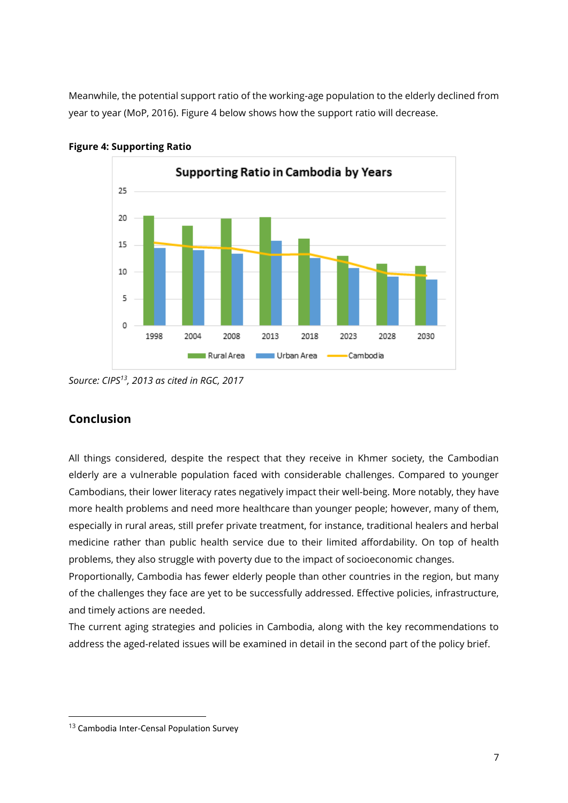Meanwhile, the potential support ratio of the working-age population to the elderly declined from year to year (MoP, 2016). Figure 4 below shows how the support ratio will decrease.



**Figure 4: Supporting Ratio**

# **Conclusion**

All things considered, despite the respect that they receive in Khmer society, the Cambodian elderly are a vulnerable population faced with considerable challenges. Compared to younger Cambodians, their lower literacy rates negatively impact their well-being. More notably, they have more health problems and need more healthcare than younger people; however, many of them, especially in rural areas, still prefer private treatment, for instance, traditional healers and herbal medicine rather than public health service due to their limited affordability. On top of health problems, they also struggle with poverty due to the impact of socioeconomic changes.

Proportionally, Cambodia has fewer elderly people than other countries in the region, but many of the challenges they face are yet to be successfully addressed. Effective policies, infrastructure, and timely actions are needed.

The current aging strategies and policies in Cambodia, along with the key recommendations to address the aged-related issues will be examined in detail in the second part of the policy brief.

*Source: CIPS<sup>13</sup>, 2013 as cited in RGC, 2017*

<sup>13</sup> Cambodia Inter-Censal Population Survey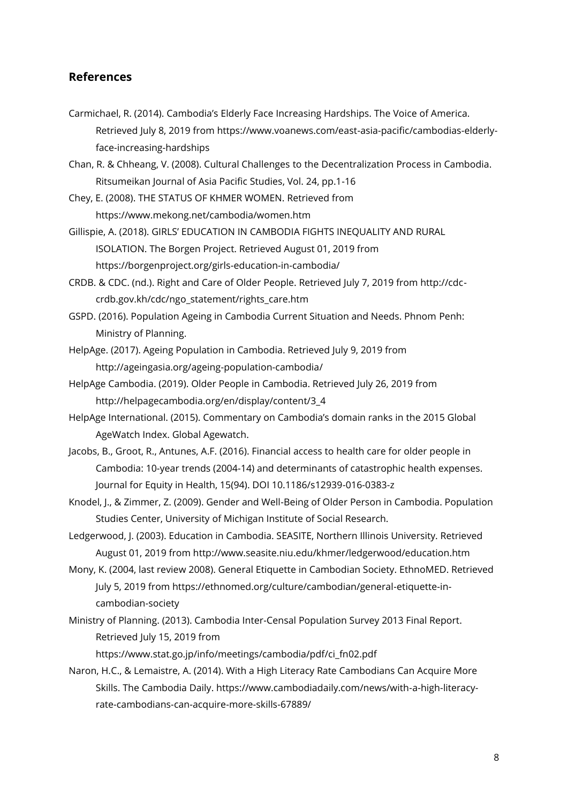## **References**

- Carmichael, R. (2014). Cambodia's Elderly Face Increasing Hardships. The Voice of America. Retrieved July 8, 2019 from https://www.voanews.com/east-asia-pacific/cambodias-elderlyface-increasing-hardships
- Chan, R. & Chheang, V. (2008). Cultural Challenges to the Decentralization Process in Cambodia. Ritsumeikan Journal of Asia Pacific Studies, Vol. 24, pp.1-16
- Chey, E. (2008). THE STATUS OF KHMER WOMEN. Retrieved from https://www.mekong.net/cambodia/women.htm
- Gillispie, A. (2018). GIRLS' EDUCATION IN CAMBODIA FIGHTS INEQUALITY AND RURAL ISOLATION. The Borgen Project. Retrieved August 01, 2019 from https://borgenproject.org/girls-education-in-cambodia/
- CRDB. & CDC. (nd.). Right and Care of Older People. Retrieved July 7, 2019 from http://cdccrdb.gov.kh/cdc/ngo\_statement/rights\_care.htm
- GSPD. (2016). Population Ageing in Cambodia Current Situation and Needs. Phnom Penh: Ministry of Planning.
- HelpAge. (2017). Ageing Population in Cambodia. Retrieved July 9, 2019 from http://ageingasia.org/ageing-population-cambodia/
- HelpAge Cambodia. (2019). Older People in Cambodia. Retrieved July 26, 2019 from http://helpagecambodia.org/en/display/content/3\_4
- HelpAge International. (2015). Commentary on Cambodia's domain ranks in the 2015 Global AgeWatch Index. Global Agewatch.
- Jacobs, B., Groot, R., Antunes, A.F. (2016). Financial access to health care for older people in Cambodia: 10-year trends (2004-14) and determinants of catastrophic health expenses. Journal for Equity in Health, 15(94). DOI 10.1186/s12939-016-0383-z
- Knodel, J., & Zimmer, Z. (2009). Gender and Well-Being of Older Person in Cambodia. Population Studies Center, University of Michigan Institute of Social Research.
- Ledgerwood, J. (2003). Education in Cambodia. SEASITE, Northern Illinois University. Retrieved August 01, 2019 from http://www.seasite.niu.edu/khmer/ledgerwood/education.htm
- Mony, K. (2004, last review 2008). General Etiquette in Cambodian Society. EthnoMED. Retrieved July 5, 2019 from https://ethnomed.org/culture/cambodian/general-etiquette-incambodian-society
- Ministry of Planning. (2013). Cambodia Inter-Censal Population Survey 2013 Final Report. Retrieved July 15, 2019 from

https://www.stat.go.jp/info/meetings/cambodia/pdf/ci\_fn02.pdf

Naron, H.C., & Lemaistre, A. (2014). With a High Literacy Rate Cambodians Can Acquire More Skills. The Cambodia Daily. https://www.cambodiadaily.com/news/with-a-high-literacyrate-cambodians-can-acquire-more-skills-67889/